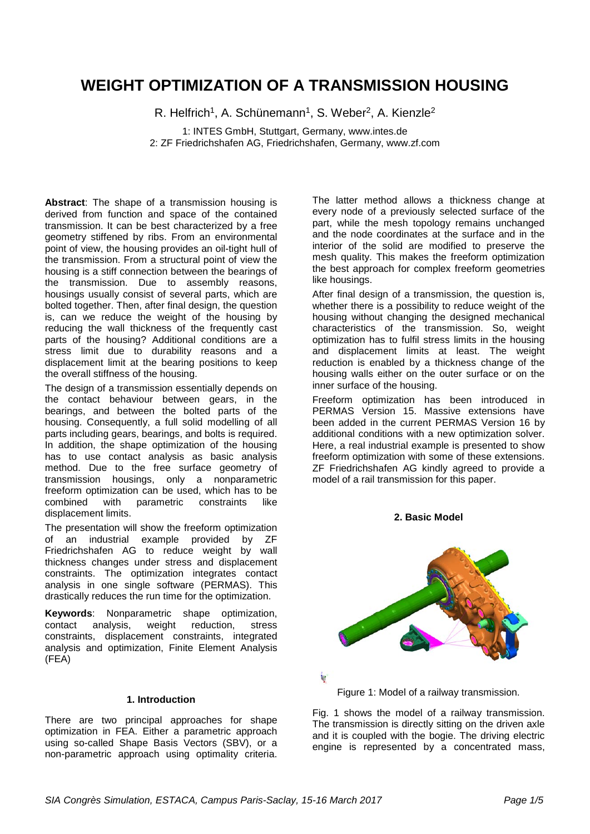# **WEIGHT OPTIMIZATION OF A TRANSMISSION HOUSING**

R. Helfrich<sup>1</sup>, A. Schünemann<sup>1</sup>, S. Weber<sup>2</sup>, A. Kienzle<sup>2</sup>

1: INTES GmbH, Stuttgart, Germany, www.intes.de 2: ZF Friedrichshafen AG, Friedrichshafen, Germany, www.zf.com

**Abstract**: The shape of a transmission housing is derived from function and space of the contained transmission. It can be best characterized by a free geometry stiffened by ribs. From an environmental point of view, the housing provides an oil-tight hull of the transmission. From a structural point of view the housing is a stiff connection between the bearings of the transmission. Due to assembly reasons, housings usually consist of several parts, which are bolted together. Then, after final design, the question is, can we reduce the weight of the housing by reducing the wall thickness of the frequently cast parts of the housing? Additional conditions are a stress limit due to durability reasons and a displacement limit at the bearing positions to keep the overall stiffness of the housing.

The design of a transmission essentially depends on the contact behaviour between gears, in the bearings, and between the bolted parts of the housing. Consequently, a full solid modelling of all parts including gears, bearings, and bolts is required. In addition, the shape optimization of the housing has to use contact analysis as basic analysis method. Due to the free surface geometry of transmission housings, only a nonparametric freeform optimization can be used, which has to be combined with parametric constraints like displacement limits.

The presentation will show the freeform optimization of an industrial example provided by ZF Friedrichshafen AG to reduce weight by wall thickness changes under stress and displacement constraints. The optimization integrates contact analysis in one single software (PERMAS). This drastically reduces the run time for the optimization.

**Keywords**: Nonparametric shape optimization, contact analysis, weight reduction, stress constraints, displacement constraints, integrated analysis and optimization, Finite Element Analysis (FEA)

## **1. Introduction**

There are two principal approaches for shape optimization in FEA. Either a parametric approach using so-called Shape Basis Vectors (SBV), or a non-parametric approach using optimality criteria.

The latter method allows a thickness change at every node of a previously selected surface of the part, while the mesh topology remains unchanged and the node coordinates at the surface and in the interior of the solid are modified to preserve the mesh quality. This makes the freeform optimization the best approach for complex freeform geometries like housings.

After final design of a transmission, the question is, whether there is a possibility to reduce weight of the housing without changing the designed mechanical characteristics of the transmission. So, weight optimization has to fulfil stress limits in the housing and displacement limits at least. The weight reduction is enabled by a thickness change of the housing walls either on the outer surface or on the inner surface of the housing.

Freeform optimization has been introduced in PERMAS Version 15. Massive extensions have been added in the current PERMAS Version 16 by additional conditions with a new optimization solver. Here, a real industrial example is presented to show freeform optimization with some of these extensions. ZF Friedrichshafen AG kindly agreed to provide a model of a rail transmission for this paper.

**2. Basic Model**



Figure 1: Model of a railway transmission.

Fig. 1 shows the model of a railway transmission. The transmission is directly sitting on the driven axle and it is coupled with the bogie. The driving electric engine is represented by a concentrated mass,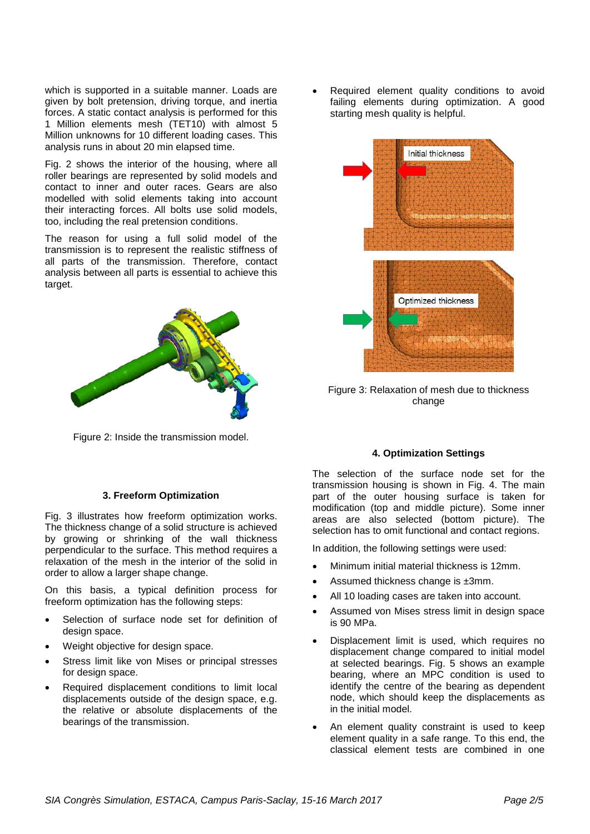which is supported in a suitable manner. Loads are given by bolt pretension, driving torque, and inertia forces. A static contact analysis is performed for this 1 Million elements mesh (TET10) with almost 5 Million unknowns for 10 different loading cases. This analysis runs in about 20 min elapsed time.

Fig. 2 shows the interior of the housing, where all roller bearings are represented by solid models and contact to inner and outer races. Gears are also modelled with solid elements taking into account their interacting forces. All bolts use solid models, too, including the real pretension conditions.

The reason for using a full solid model of the transmission is to represent the realistic stiffness of all parts of the transmission. Therefore, contact analysis between all parts is essential to achieve this target.



Figure 2: Inside the transmission model.

## **3. Freeform Optimization**

Fig. 3 illustrates how freeform optimization works. The thickness change of a solid structure is achieved by growing or shrinking of the wall thickness perpendicular to the surface. This method requires a relaxation of the mesh in the interior of the solid in order to allow a larger shape change.

On this basis, a typical definition process for freeform optimization has the following steps:

- Selection of surface node set for definition of design space.
- Weight objective for design space.
- Stress limit like von Mises or principal stresses for design space.
- Required displacement conditions to limit local displacements outside of the design space, e.g. the relative or absolute displacements of the bearings of the transmission.

Required element quality conditions to avoid failing elements during optimization. A good starting mesh quality is helpful.



Figure 3: Relaxation of mesh due to thickness change

## **4. Optimization Settings**

The selection of the surface node set for the transmission housing is shown in Fig. 4. The main part of the outer housing surface is taken for modification (top and middle picture). Some inner areas are also selected (bottom picture). The selection has to omit functional and contact regions.

In addition, the following settings were used:

- Minimum initial material thickness is 12mm.
- Assumed thickness change is ±3mm.
- All 10 loading cases are taken into account.
- Assumed von Mises stress limit in design space is 90 MPa.
- Displacement limit is used, which requires no displacement change compared to initial model at selected bearings. Fig. 5 shows an example bearing, where an MPC condition is used to identify the centre of the bearing as dependent node, which should keep the displacements as in the initial model.
- An element quality constraint is used to keep element quality in a safe range. To this end, the classical element tests are combined in one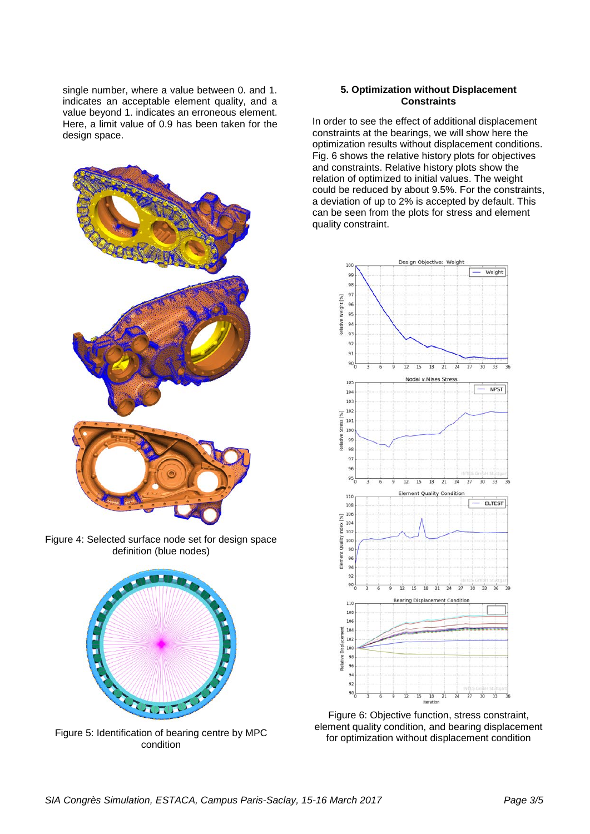single number, where a value between 0. and 1. indicates an acceptable element quality, and a value beyond 1. indicates an erroneous element. Here, a limit value of 0.9 has been taken for the design space.



Figure 4: Selected surface node set for design space definition (blue nodes)



Figure 5: Identification of bearing centre by MPC condition

## **5. Optimization without Displacement Constraints**

In order to see the effect of additional displacement constraints at the bearings, we will show here the optimization results without displacement conditions. Fig. 6 shows the relative history plots for objectives and constraints. Relative history plots show the relation of optimized to initial values. The weight could be reduced by about 9.5%. For the constraints, a deviation of up to 2% is accepted by default. This can be seen from the plots for stress and element quality constraint.



Figure 6: Objective function, stress constraint, element quality condition, and bearing displacement for optimization without displacement condition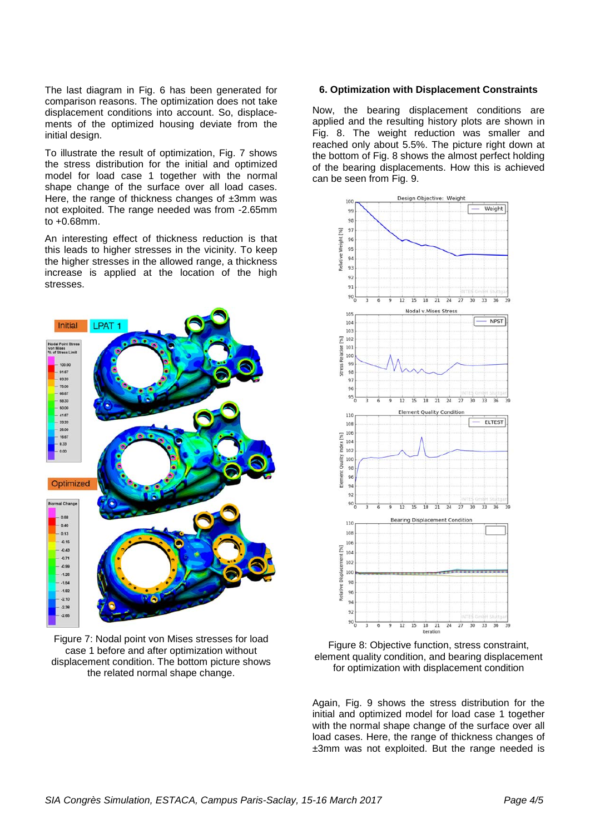The last diagram in Fig. 6 has been generated for comparison reasons. The optimization does not take displacement conditions into account. So, displacements of the optimized housing deviate from the initial design.

To illustrate the result of optimization, Fig. 7 shows the stress distribution for the initial and optimized model for load case 1 together with the normal shape change of the surface over all load cases. Here, the range of thickness changes of  $\pm 3$ mm was not exploited. The range needed was from -2.65mm to +0.68mm.

An interesting effect of thickness reduction is that this leads to higher stresses in the vicinity. To keep the higher stresses in the allowed range, a thickness increase is applied at the location of the high stresses.



Figure 7: Nodal point von Mises stresses for load case 1 before and after optimization without displacement condition. The bottom picture shows the related normal shape change.

## **6. Optimization with Displacement Constraints**

Now, the bearing displacement conditions are applied and the resulting history plots are shown in Fig. 8. The weight reduction was smaller and reached only about 5.5%. The picture right down at the bottom of Fig. 8 shows the almost perfect holding of the bearing displacements. How this is achieved can be seen from Fig. 9.



Figure 8: Objective function, stress constraint, element quality condition, and bearing displacement for optimization with displacement condition

Again, Fig. 9 shows the stress distribution for the initial and optimized model for load case 1 together with the normal shape change of the surface over all load cases. Here, the range of thickness changes of ±3mm was not exploited. But the range needed is